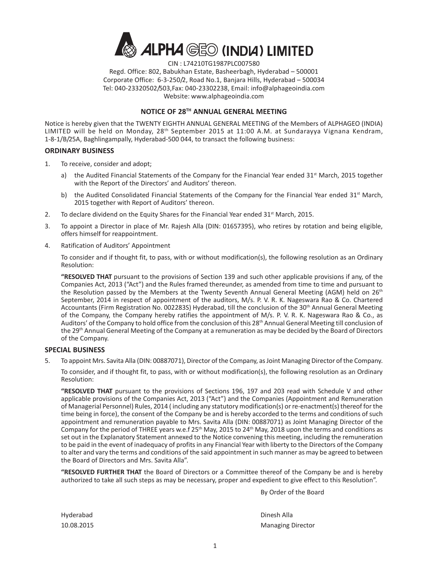

CIN : L74210TG1987PLC007580 Regd. Office: 802, Babukhan Estate, Basheerbagh, Hyderabad – 500001 Corporate Office: 6-3-250/2, Road No.1, Banjara Hills, Hyderabad – 500034 Tel: 040-23320502/503,Fax: 040-23302238, Email: info@alphageoindia.com Website: www.alphageoindia.com

## **NOTICE OF 28TH ANNUAL GENERAL MEETING**

Notice is hereby given that the TWENTY EIGHTH ANNUAL GENERAL MEETING of the Members of ALPHAGEO (INDIA) LIMITED will be held on Monday, 28<sup>th</sup> September 2015 at 11:00 A.M. at Sundarayya Vignana Kendram, 1-8-1/B/25A, Baghlingampally, Hyderabad-500 044, to transact the following business:

### **ORDINARY BUSINESS**

- 1. To receive, consider and adopt;
	- a) the Audited Financial Statements of the Company for the Financial Year ended  $31<sup>st</sup>$  March, 2015 together with the Report of the Directors' and Auditors' thereon.
	- b) the Audited Consolidated Financial Statements of the Company for the Financial Year ended  $31<sup>st</sup>$  March, 2015 together with Report of Auditors' thereon.
- 2. To declare dividend on the Equity Shares for the Financial Year ended  $31^{st}$  March, 2015.
- 3. To appoint a Director in place of Mr. Rajesh Alla (DIN: 01657395), who retires by rotation and being eligible, offers himself for reappointment.
- 4. Ratification of Auditors' Appointment

To consider and if thought fit, to pass, with or without modification(s), the following resolution as an Ordinary Resolution:

**"RESOLVED THAT** pursuant to the provisions of Section 139 and such other applicable provisions if any, of the Companies Act, 2013 ("Act") and the Rules framed thereunder, as amended from time to time and pursuant to the Resolution passed by the Members at the Twenty Seventh Annual General Meeting (AGM) held on 26<sup>th</sup> September, 2014 in respect of appointment of the auditors, M/s. P. V. R. K. Nageswara Rao & Co. Chartered Accountants (Firm Registration No. 002283S) Hyderabad, till the conclusion of the 30<sup>th</sup> Annual General Meeting of the Company, the Company hereby ratifies the appointment of M/s. P. V. R. K. Nageswara Rao & Co., as Auditors' of the Company to hold office from the conclusion of this 28<sup>th</sup> Annual General Meeting till conclusion of the 29th Annual General Meeting of the Company at a remuneration as may be decided by the Board of Directors of the Company.

### **SPECIAL BUSINESS**

5. To appoint Mrs. Savita Alla (DIN: 00887071), Director of the Company, as Joint Managing Director of the Company.

To consider, and if thought fit, to pass, with or without modification(s), the following resolution as an Ordinary Resolution:

**"RESOLVED THAT** pursuant to the provisions of Sections 196, 197 and 203 read with Schedule V and other applicable provisions of the Companies Act, 2013 ("Act") and the Companies (Appointment and Remuneration of Managerial Personnel) Rules, 2014 ( including any statutory modification(s) or re-enactment(s) thereof for the time being in force), the consent of the Company be and is hereby accorded to the terms and conditions of such appointment and remuneration payable to Mrs. Savita Alla (DIN: 00887071) as Joint Managing Director of the Company for the period of THREE years w.e.f 25<sup>th</sup> May, 2015 to 24<sup>th</sup> May, 2018 upon the terms and conditions as set out in the Explanatory Statement annexed to the Notice convening this meeting, including the remuneration to be paid in the event of inadequacy of profits in any Financial Year with liberty to the Directors of the Company to alter and vary the terms and conditions of the said appointment in such manner as may be agreed to between the Board of Directors and Mrs. Savita Alla".

**"RESOLVED FURTHER THAT** the Board of Directors or a Committee thereof of the Company be and is hereby authorized to take all such steps as may be necessary, proper and expedient to give effect to this Resolution".

By Order of the Board

Hyderabad Dinesh Alla

10.08.2015 Managing Director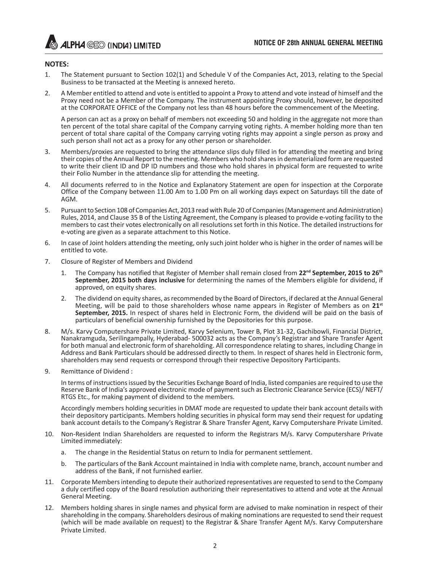### **NOTES:**

- 1. The Statement pursuant to Section 102(1) and Schedule V of the Companies Act, 2013, relating to the Special Business to be transacted at the Meeting is annexed hereto.
- 2. A Member entitled to attend and vote is entitled to appoint a Proxy to attend and vote instead of himself and the Proxy need not be a Member of the Company. The instrument appointing Proxy should, however, be deposited at the CORPORATE OFFICE of the Company not less than 48 hours before the commencement of the Meeting.

A person can act as a proxy on behalf of members not exceeding 50 and holding in the aggregate not more than ten percent of the total share capital of the Company carrying voting rights. A member holding more than ten percent of total share capital of the Company carrying voting rights may appoint a single person as proxy and such person shall not act as a proxy for any other person or shareholder.

- 3. Members/proxies are requested to bring the attendance slips duly filled in for attending the meeting and bring their copies of the Annual Report to the meeting. Members who hold shares in dematerialized form are requested to write their client ID and DP ID numbers and those who hold shares in physical form are requested to write their Folio Number in the attendance slip for attending the meeting.
- 4. All documents referred to in the Notice and Explanatory Statement are open for inspection at the Corporate Office of the Company between 11.00 Am to 1.00 Pm on all working days expect on Saturdays till the date of AGM.
- 5. Pursuant to Section 108 of Companies Act, 2013 read with Rule 20 of Companies (Management and Administration) Rules, 2014, and Clause 35 B of the Listing Agreement, the Company is pleased to provide e-voting facility to the members to cast their votes electronically on all resolutions set forth in this Notice. The detailed instructions for e-voting are given as a separate attachment to this Notice.
- 6. In case of Joint holders attending the meeting, only such joint holder who is higher in the order of names will be entitled to vote.
- 7. Closure of Register of Members and Dividend
	- 1. The Company has notified that Register of Member shall remain closed from 22<sup>nd</sup> September, 2015 to 26<sup>th</sup> **September, 2015 both days inclusive** for determining the names of the Members eligible for dividend, if approved, on equity shares.
	- 2. The dividend on equity shares, as recommended by the Board of Directors, if declared at the Annual General Meeting, will be paid to those shareholders whose name appears in Register of Members as on **21st September, 2015.** In respect of shares held in Electronic Form, the dividend will be paid on the basis of particulars of beneficial ownership furnished by the Depositories for this purpose.
- 8. M/s. Karvy Computershare Private Limited, Karvy Selenium, Tower B, Plot 31-32, Gachibowli, Financial District, Nanakramguda, Serilingampally, Hyderabad- 500032 acts as the Company's Registrar and Share Transfer Agent for both manual and electronic form of shareholding. All correspondence relating to shares, including Change in Address and Bank Particulars should be addressed directly to them. In respect of shares held in Electronic form, shareholders may send requests or correspond through their respective Depository Participants.
- 9. Remittance of Dividend :

In terms of instructions issued by the Securities Exchange Board of India, listed companies are required to use the Reserve Bank of India's approved electronic mode of payment such as Electronic Clearance Service (ECS)/ NEFT/ RTGS Etc., for making payment of dividend to the members.

Accordingly members holding securities in DMAT mode are requested to update their bank account details with their depository participants. Members holding securities in physical form may send their request for updating bank account details to the Company's Registrar & Share Transfer Agent, Karvy Computershare Private Limited.

- 10. Non-Resident Indian Shareholders are requested to inform the Registrars M/s. Karvy Computershare Private Limited immediately:
	- a. The change in the Residential Status on return to India for permanent settlement.
	- b. The particulars of the Bank Account maintained in India with complete name, branch, account number and address of the Bank, if not furnished earlier.
- 11. Corporate Members intending to depute their authorized representatives are requested to send to the Company a duly certified copy of the Board resolution authorizing their representatives to attend and vote at the Annual General Meeting.
- 12. Members holding shares in single names and physical form are advised to make nomination in respect of their shareholding in the company. Shareholders desirous of making nominations are requested to send their request (which will be made available on request) to the Registrar & Share Transfer Agent M/s. Karvy Computershare Private Limited.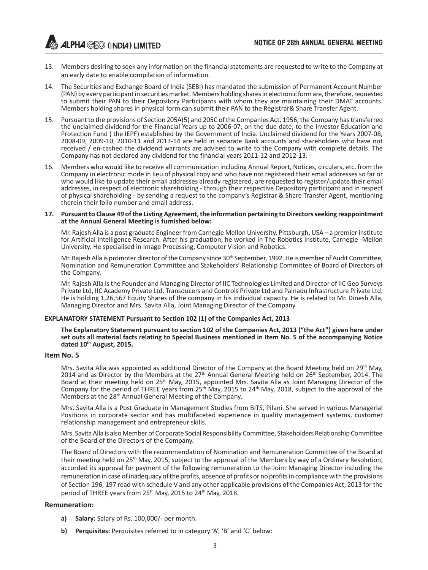**ALPHA** @E© (INDIA) LIMITED

- 13. Members desiring to seek any information on the financial statements are requested to write to the Company at an early date to enable compilation of information.
- 14. The Securities and Exchange Board of India (SEBI) has mandated the submission of Permanent Account Number (PAN) by every participant in securities market. Members holding shares in electronic form are, therefore, requested to submit their PAN to their Depository Participants with whom they are maintaining their DMAT accounts. Members holding shares in physical form can submit their PAN to the Registrar& Share Transfer Agent.
- 15. Pursuant to the provisions of Section 205A(5) and 205C of the Companies Act, 1956, the Company has transferred the unclaimed dividend for the Financial Years up to 2006-07, on the due date, to the Investor Education and Protection Fund ( the IEPF) established by the Government of India. Unclaimed dividend for the Years 2007-08, 2008-09, 2009-10, 2010-11 and 2013-14 are held in separate Bank accounts and shareholders who have not received / en-cashed the dividend warrants are advised to write to the Company with complete details. The Company has not declared any dividend for the financial years 2011-12 and 2012-13.
- 16. Members who would like to receive all communication including Annual Report, Notices, circulars, etc. from the Company in electronic mode in lieu of physical copy and who have not registered their email addresses so far or who would like to update their email addresses already registered, are requested to register/update their email addresses, in respect of electronic shareholding - through their respective Depository participant and in respect of physical shareholding - by sending a request to the company's Registrar & Share Transfer Agent, mentioning therein their folio number and email address.

#### **17. Pursuant to Clause 49 of the Listing Agreement, the information pertaining to Directors seeking reappointment at the Annual General Meeting is furnished below:**

Mr. Rajesh Alla is a post graduate Engineer from Carnegie Mellon University, Pittsburgh, USA – a premier institute for Artificial Intelligence Research. After his graduation, he worked in The Robotics Institute, Carnegie -Mellon University. He specialised in Image Processing, Computer Vision and Robotics.

Mr. Rajesh Alla is promoter director of the Company since 30<sup>th</sup> September, 1992. He is member of Audit Committee, Nomination and Remuneration Committee and Stakeholders' Relationship Committee of Board of Directors of the Company.

Mr. Rajesh Alla is the Founder and Managing Director of IIC Technologies Limited and Director of IIC Geo Surveys Private Ltd, IIC Academy Private Ltd, Transducers and Controls Private Ltd and Palnadu Infrastructure Private Ltd. He is holding 1,26,567 Equity Shares of the company in his individual capacity. He is related to Mr. Dinesh Alla, Managing Director and Mrs. Savita Alla, Joint Managing Director of the Company.

### **EXPLANATORY STATEMENT Pursuant to Section 102 (1) of the Companies Act, 2013**

**The Explanatory Statement pursuant to section 102 of the Companies Act, 2013 ("the Act") given here under set outs all material facts relating to Special Business mentioned in Item No. 5 of the accompanying Notice dated 10th August, 2015.**

### **Item No. 5**

Mrs. Savita Alla was appointed as additional Director of the Company at the Board Meeting held on 29<sup>th</sup> May, 2014 and as Director by the Members at the 27<sup>th</sup> Annual General Meeting held on 26<sup>th</sup> September, 2014. The Board at their meeting held on 25<sup>th</sup> May, 2015, appointed Mrs. Savita Alla as Joint Managing Director of the Company for the period of THREE years from  $25<sup>th</sup>$  May, 2015 to 24<sup>th</sup> May, 2018, subject to the approval of the Members at the 28th Annual General Meeting of the Company.

Mrs. Savita Alla is a Post Graduate in Management Studies from BITS, Pilani. She served in various Managerial Positions in corporate sector and has multifaceted experience in quality management systems, customer relationship management and entrepreneur skills.

Mrs. Savita Alla is also Member of Corporate Social Responsibility Committee, Stakeholders Relationship Committee of the Board of the Directors of the Company.

The Board of Directors with the recommendation of Nomination and Remuneration Committee of the Board at their meeting held on 25<sup>th</sup> May, 2015, subject to the approval of the Members by way of a Ordinary Resolution, accorded its approval for payment of the following remuneration to the Joint Managing Director including the remuneration in case of inadequacy of the profits, absence of profits or no profits in compliance with the provisions of Section 196, 197 read with schedule V and any other applicable provisions of the Companies Act, 2013 for the period of THREE years from 25<sup>th</sup> May, 2015 to 24<sup>th</sup> May, 2018.

### **Remuneration:**

- **a) Salary:** Salary of Rs. 100,000/- per month.
- **b) Perquisites:** Perquisites referred to in category 'A', 'B' and 'C' below: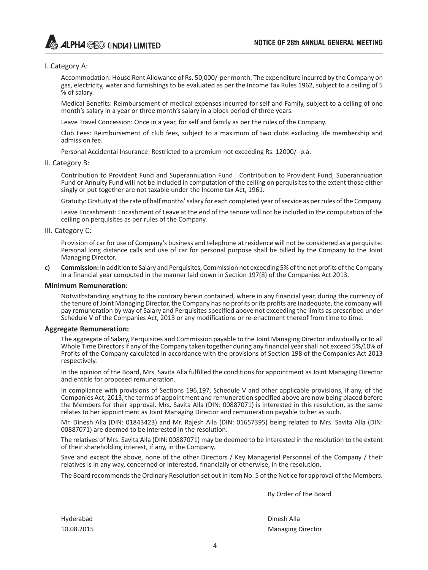**ALPHA GEO (INDIA) LIMITED** 

### I. Category A:

Accommodation: House Rent Allowance of Rs. 50,000/-per month. The expenditure incurred by the Company on gas, electricity, water and furnishings to be evaluated as per the Income Tax Rules 1962, subject to a ceiling of 5 % of salary.

Medical Benefits: Reimbursement of medical expenses incurred for self and Family, subject to a ceiling of one month's salary in a year or three month's salary in a block period of three years.

Leave Travel Concession: Once in a year, for self and family as per the rules of the Company.

Club Fees: Reimbursement of club fees, subject to a maximum of two clubs excluding life membership and admission fee.

Personal Accidental Insurance: Restricted to a premium not exceeding Rs. 12000/- p.a.

#### II. Category B:

Contribution to Provident Fund and Superannuation Fund : Contribution to Provident Fund, Superannuation Fund or Annuity Fund will not be included in computation of the ceiling on perquisites to the extent those either singly or put together are not taxable under the Income tax Act, 1961.

Gratuity: Gratuity at the rate of half months' salary for each completed year of service as per rules of the Company.

Leave Encashment: Encashment of Leave at the end of the tenure will not be included in the computation of the ceiling on perquisites as per rules of the Company.

### III. Category C:

Provision of car for use of Company's business and telephone at residence will not be considered as a perquisite. Personal long distance calls and use of car for personal purpose shall be billed by the Company to the Joint Managing Director.

**c) Commission:** In addition to Salary and Perquisites, Commission not exceeding 5% of the net profits of the Company in a financial year computed in the manner laid down in Section 197(8) of the Companies Act 2013.

### **Minimum Remuneration:**

Notwithstanding anything to the contrary herein contained, where in any financial year, during the currency of the tenure of Joint Managing Director, the Company has no profits or its profits are inadequate, the company will pay remuneration by way of Salary and Perquisites specified above not exceeding the limits as prescribed under Schedule V of the Companies Act, 2013 or any modifications or re-enactment thereof from time to time.

### **Aggregate Remuneration:**

The aggregate of Salary, Perquisites and Commission payable to the Joint Managing Director individually or to all Whole Time Directors if any of the Company taken together during any financial year shall not exceed 5%/10% of Profits of the Company calculated in accordance with the provisions of Section 198 of the Companies Act 2013 respectively.

In the opinion of the Board, Mrs. Savita Alla fulfilled the conditions for appointment as Joint Managing Director and entitle for proposed remuneration.

In compliance with provisions of Sections 196,197, Schedule V and other applicable provisions, if any, of the Companies Act, 2013, the terms of appointment and remuneration specified above are now being placed before the Members for their approval. Mrs. Savita Alla (DIN: 00887071) is interested in this resolution, as the same relates to her appointment as Joint Managing Director and remuneration payable to her as such.

Mr. Dinesh Alla (DIN: 01843423) and Mr. Rajesh Alla (DIN: 01657395) being related to Mrs. Savita Alla (DIN: 00887071) are deemed to be interested in the resolution.

The relatives of Mrs. Savita Alla (DIN: 00887071) may be deemed to be interested in the resolution to the extent of their shareholding interest, if any, in the Company.

Save and except the above, none of the other Directors / Key Managerial Personnel of the Company / their relatives is in any way, concerned or interested, financially or otherwise, in the resolution.

The Board recommends the Ordinary Resolution set out in Item No. 5 of the Notice for approval of the Members.

By Order of the Board

Hyderabad Dinesh Alla

10.08.2015 Managing Director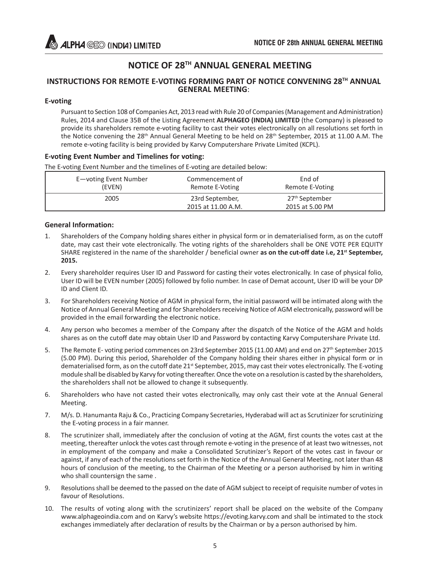# **NOTICE OF 28TH ANNUAL GENERAL MEETING**

## **INSTRUCTIONS FOR REMOTE E-VOTING FORMING PART OF NOTICE CONVENING 28<sup>TH</sup> ANNUAL GENERAL MEETING**:

### **E-voting**

Pursuant to Section 108 of Companies Act, 2013 read with Rule 20 of Companies (Management and Administration) Rules, 2014 and Clause 35B of the Listing Agreement **ALPHAGEO (INDIA) LIMITED** (the Company) is pleased to provide its shareholders remote e-voting facility to cast their votes electronically on all resolutions set forth in the Notice convening the 28<sup>th</sup> Annual General Meeting to be held on 28<sup>th</sup> September, 2015 at 11.00 A.M. The remote e-voting facility is being provided by Karvy Computershare Private Limited (KCPL).

### **E-voting Event Number and Timelines for voting:**

The E-voting Event Number and the timelines of E-voting are detailed below:

| E-voting Event Number | Commencement of                       | End of                                        |
|-----------------------|---------------------------------------|-----------------------------------------------|
| (EVEN)                | Remote E-Voting                       | Remote E-Voting                               |
| 2005                  | 23rd September,<br>2015 at 11.00 A.M. | 27 <sup>th</sup> September<br>2015 at 5.00 PM |

### **General Information:**

- 1. Shareholders of the Company holding shares either in physical form or in dematerialised form, as on the cutoff date, may cast their vote electronically. The voting rights of the shareholders shall be ONE VOTE PER EQUITY SHARE registered in the name of the shareholder / beneficial owner as on the cut-off date i.e, 21<sup>st</sup> September, **2015.**
- 2. Every shareholder requires User ID and Password for casting their votes electronically. In case of physical folio, User ID will be EVEN number (2005) followed by folio number. In case of Demat account, User ID will be your DP ID and Client ID.
- 3. For Shareholders receiving Notice of AGM in physical form, the initial password will be intimated along with the Notice of Annual General Meeting and for Shareholders receiving Notice of AGM electronically, password will be provided in the email forwarding the electronic notice.
- 4. Any person who becomes a member of the Company after the dispatch of the Notice of the AGM and holds shares as on the cutoff date may obtain User ID and Password by contacting Karvy Computershare Private Ltd.
- 5. The Remote E- voting period commences on 23rd September 2015 (11.00 AM) and end on 27th September 2015 (5.00 PM). During this period, Shareholder of the Company holding their shares either in physical form or in dematerialised form, as on the cutoff date 21st September, 2015, may cast their votes electronically. The E-voting module shall be disabled by Karvy for voting thereafter. Once the vote on a resolution is casted by the shareholders, the shareholders shall not be allowed to change it subsequently.
- 6. Shareholders who have not casted their votes electronically, may only cast their vote at the Annual General Meeting.
- 7. M/s. D. Hanumanta Raju & Co., Practicing Company Secretaries, Hyderabad will act as Scrutinizer for scrutinizing the E-voting process in a fair manner.
- 8. The scrutinizer shall, immediately after the conclusion of voting at the AGM, first counts the votes cast at the meeting, thereafter unlock the votes cast through remote e-voting in the presence of at least two witnesses, not in employment of the company and make a Consolidated Scrutinizer's Report of the votes cast in favour or against, if any of each of the resolutions set forth in the Notice of the Annual General Meeting, not later than 48 hours of conclusion of the meeting, to the Chairman of the Meeting or a person authorised by him in writing who shall countersign the same .
- 9. Resolutions shall be deemed to the passed on the date of AGM subject to receipt of requisite number of votes in favour of Resolutions.
- 10. The results of voting along with the scrutinizers' report shall be placed on the website of the Company www.alphageoindia.com and on Karvy's website https://evoting.karvy.com and shall be intimated to the stock exchanges immediately after declaration of results by the Chairman or by a person authorised by him.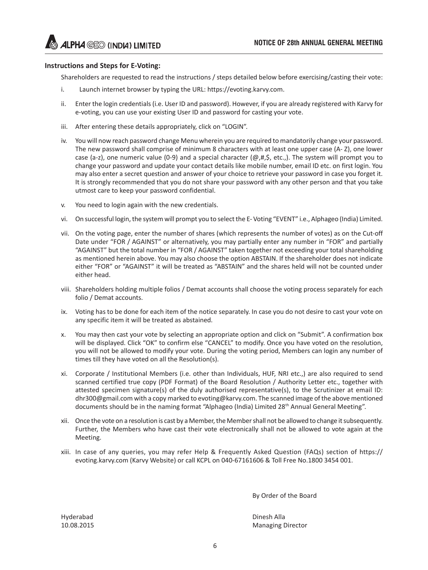### **Instructions and Steps for E-Voting:**

Shareholders are requested to read the instructions / steps detailed below before exercising/casting their vote:

- i. Launch internet browser by typing the URL: https://evoting.karvy.com.
- ii. Enter the login credentials (i.e. User ID and password). However, if you are already registered with Karvy for e-voting, you can use your existing User ID and password for casting your vote.
- iii. After entering these details appropriately, click on "LOGIN".
- iv. You will now reach password change Menu wherein you are required to mandatorily change your password. The new password shall comprise of minimum 8 characters with at least one upper case (A- Z), one lower case (a-z), one numeric value (0-9) and a special character ( $\omega$ ,#,\$, etc.,). The system will prompt you to change your password and update your contact details like mobile number, email ID etc. on first login. You may also enter a secret question and answer of your choice to retrieve your password in case you forget it. It is strongly recommended that you do not share your password with any other person and that you take utmost care to keep your password confidential.
- v. You need to login again with the new credentials.
- vi. On successful login, the system will prompt you to select the E- Voting "EVENT" i.e., Alphageo (India) Limited.
- vii. On the voting page, enter the number of shares (which represents the number of votes) as on the Cut-off Date under "FOR / AGAINST" or alternatively, you may partially enter any number in "FOR" and partially "AGAINST" but the total number in "FOR / AGAINST" taken together not exceeding your total shareholding as mentioned herein above. You may also choose the option ABSTAIN. If the shareholder does not indicate either "FOR" or "AGAINST" it will be treated as "ABSTAIN" and the shares held will not be counted under either head.
- viii. Shareholders holding multiple folios / Demat accounts shall choose the voting process separately for each folio / Demat accounts.
- ix. Voting has to be done for each item of the notice separately. In case you do not desire to cast your vote on any specific item it will be treated as abstained.
- x. You may then cast your vote by selecting an appropriate option and click on "Submit". A confirmation box will be displayed. Click "OK" to confirm else "CANCEL" to modify. Once you have voted on the resolution, you will not be allowed to modify your vote. During the voting period, Members can login any number of times till they have voted on all the Resolution(s).
- xi. Corporate / Institutional Members (i.e. other than Individuals, HUF, NRI etc.,) are also required to send scanned certified true copy (PDF Format) of the Board Resolution / Authority Letter etc., together with attested specimen signature(s) of the duly authorised representative(s), to the Scrutinizer at email ID: dhr300@gmail.com with a copy marked to evoting@karvy.com. The scanned image of the above mentioned documents should be in the naming format "Alphageo (India) Limited 28<sup>th</sup> Annual General Meeting".
- xii. Once the vote on a resolution is cast by a Member, the Member shall not be allowed to change it subsequently. Further, the Members who have cast their vote electronically shall not be allowed to vote again at the Meeting.
- xiii. In case of any queries, you may refer Help & Frequently Asked Question (FAQs) section of https:// evoting.karvy.com (Karvy Website) or call KCPL on 040-67161606 & Toll Free No.1800 3454 001.

By Order of the Board

**Managing Director** 

Hyderabad Dinesh Alla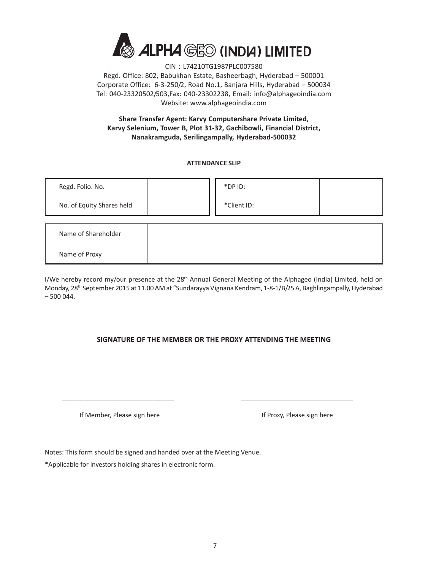

CIN : L74210TG1987PLC007580 Regd. Office: 802, Babukhan Estate, Basheerbagh, Hyderabad – 500001 Corporate Office: 6-3-250/2, Road No.1, Banjara Hills, Hyderabad – 500034 Tel: 040-23320502/503,Fax: 040-23302238, Email: info@alphageoindia.com Website: www.alphageoindia.com

## **Share Transfer Agent: Karvy Computershare Private Limited, Karvy Selenium, Tower B, Plot 31-32, Gachibowli, Financial District, Nanakramguda, Serilingampally, Hyderabad-500032**

## **ATTENDANCE SLIP**

| Regd. Folio. No.          | $*$ DP ID:  |  |
|---------------------------|-------------|--|
| No. of Equity Shares held | *Client ID: |  |

| Name of Shareholder |  |
|---------------------|--|
| Name of Proxy       |  |

I/We hereby record my/our presence at the 28<sup>th</sup> Annual General Meeting of the Alphageo (India) Limited, held on Monday, 28th September 2015 at 11.00 AM at "Sundarayya Vignana Kendram, 1-8-1/B/25 A, Baghlingampally, Hyderabad  $-500044.$ 

# **SIGNATURE OF THE MEMBER OR THE PROXY ATTENDING THE MEETING**

\_\_\_\_\_\_\_\_\_\_\_\_\_\_\_\_\_\_\_\_\_\_\_\_\_\_ \_\_\_\_\_\_\_\_\_\_\_\_\_\_\_\_\_\_\_\_\_\_\_\_\_\_

If Member, Please sign here **If Proxy, Please sign here** If Proxy, Please sign here

Notes: This form should be signed and handed over at the Meeting Venue.

\*Applicable for investors holding shares in electronic form.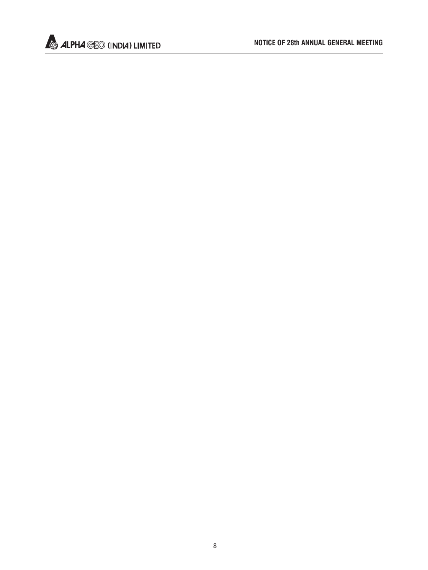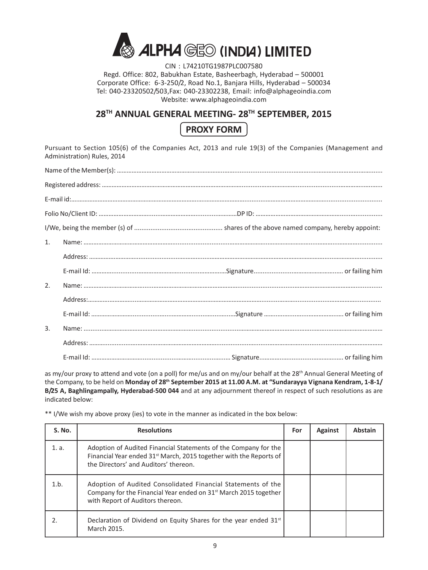

CIN : L74210TG1987PLC007580

Regd. Office: 802, Babukhan Estate, Basheerbagh, Hyderabad – 500001 Corporate Office: 6-3-250/2, Road No.1, Banjara Hills, Hyderabad – 500034 Tel: 040-23320502/503,Fax: 040-23302238, Email: info@alphageoindia.com Website: www.alphageoindia.com

# **28TH ANNUAL GENERAL MEETING- 28TH SEPTEMBER, 2015**

# **PROXY FORM**

Pursuant to Section 105(6) of the Companies Act, 2013 and rule 19(3) of the Companies (Management and Administration) Rules, 2014

| 1. |  |  |
|----|--|--|
|    |  |  |
|    |  |  |
| 2. |  |  |
|    |  |  |
|    |  |  |
| 3. |  |  |
|    |  |  |
|    |  |  |

as my/our proxy to attend and vote (on a poll) for me/us and on my/our behalf at the 28<sup>th</sup> Annual General Meeting of the Company, to be held on **Monday of 28th September 2015 at 11.00 A.M. at "Sundarayya Vignana Kendram, 1-8-1/ B/25 A, Baghlingampally, Hyderabad-500 044** and at any adjournment thereof in respect of such resolutions as are indicated below:

\*\* I/We wish my above proxy (ies) to vote in the manner as indicated in the box below:

| S. No. | <b>Resolutions</b>                                                                                                                                                                         | For | <b>Against</b> | <b>Abstain</b> |
|--------|--------------------------------------------------------------------------------------------------------------------------------------------------------------------------------------------|-----|----------------|----------------|
| 1. a.  | Adoption of Audited Financial Statements of the Company for the<br>Financial Year ended 31 <sup>st</sup> March, 2015 together with the Reports of<br>the Directors' and Auditors' thereon. |     |                |                |
| 1.b.   | Adoption of Audited Consolidated Financial Statements of the<br>Company for the Financial Year ended on 31 <sup>st</sup> March 2015 together<br>with Report of Auditors thereon.           |     |                |                |
|        | Declaration of Dividend on Equity Shares for the year ended $31st$<br>March 2015.                                                                                                          |     |                |                |